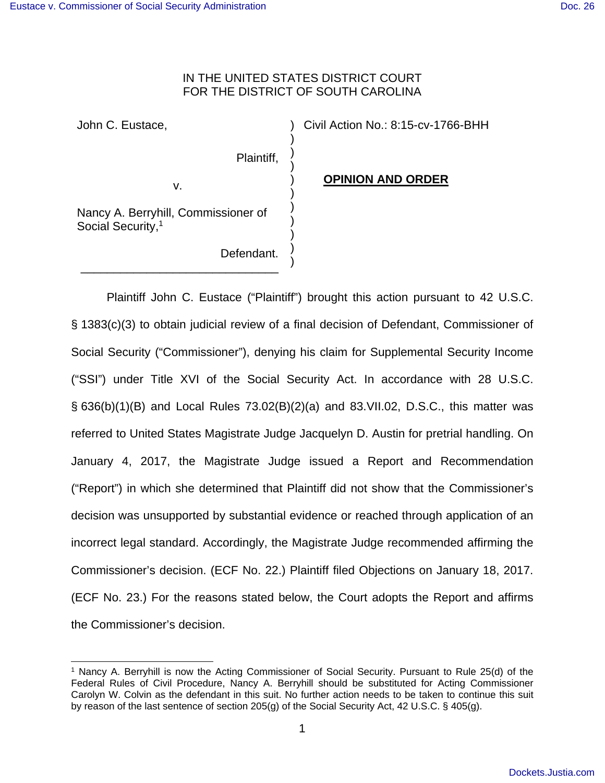## IN THE UNITED STATES DISTRICT COURT FOR THE DISTRICT OF SOUTH CAROLINA

) ) ) ) ) ) ) ) ) ) )

John C. Eustace,

v.

Civil Action No.: 8:15-cv-1766-BHH

**OPINION AND ORDER**

Nancy A. Berryhill, Commissioner of Social Security,<sup>1</sup>

\_\_\_\_\_\_\_\_\_\_\_\_\_\_\_\_\_\_\_\_\_\_\_\_\_\_\_\_\_\_

Defendant.

Plaintiff,

 Plaintiff John C. Eustace ("Plaintiff") brought this action pursuant to 42 U.S.C. § 1383(c)(3) to obtain judicial review of a final decision of Defendant, Commissioner of Social Security ("Commissioner"), denying his claim for Supplemental Security Income ("SSI") under Title XVI of the Social Security Act. In accordance with 28 U.S.C. § 636(b)(1)(B) and Local Rules 73.02(B)(2)(a) and 83.VII.02, D.S.C., this matter was referred to United States Magistrate Judge Jacquelyn D. Austin for pretrial handling. On January 4, 2017, the Magistrate Judge issued a Report and Recommendation ("Report") in which she determined that Plaintiff did not show that the Commissioner's decision was unsupported by substantial evidence or reached through application of an incorrect legal standard. Accordingly, the Magistrate Judge recommended affirming the Commissioner's decision. (ECF No. 22.) Plaintiff filed Objections on January 18, 2017. (ECF No. 23.) For the reasons stated below, the Court adopts the Report and affirms the Commissioner's decision.

 <sup>1</sup> Nancy A. Berryhill is now the Acting Commissioner of Social Security. Pursuant to Rule 25(d) of the Federal Rules of Civil Procedure, Nancy A. Berryhill should be substituted for Acting Commissioner Carolyn W. Colvin as the defendant in this suit. No further action needs to be taken to continue this suit by reason of the last sentence of section 205(g) of the Social Security Act, 42 U.S.C. § 405(g).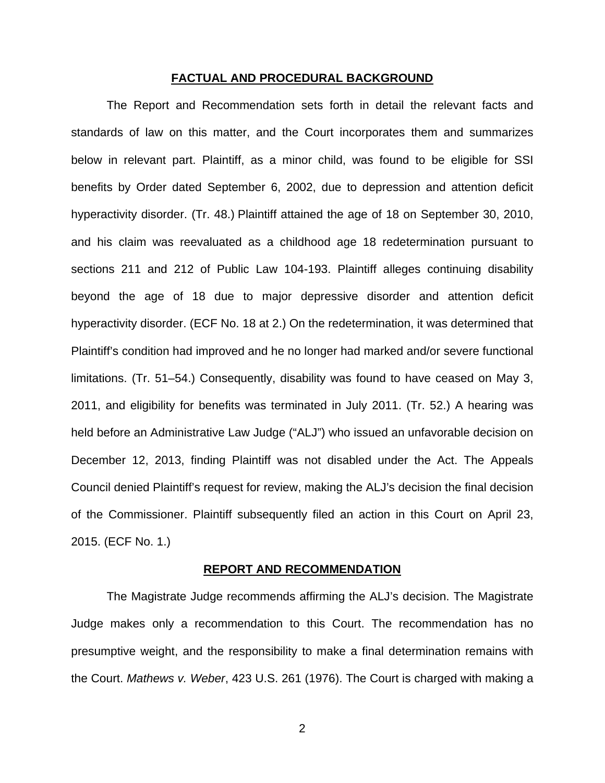#### **FACTUAL AND PROCEDURAL BACKGROUND**

 The Report and Recommendation sets forth in detail the relevant facts and standards of law on this matter, and the Court incorporates them and summarizes below in relevant part. Plaintiff, as a minor child, was found to be eligible for SSI benefits by Order dated September 6, 2002, due to depression and attention deficit hyperactivity disorder. (Tr. 48.) Plaintiff attained the age of 18 on September 30, 2010, and his claim was reevaluated as a childhood age 18 redetermination pursuant to sections 211 and 212 of Public Law 104-193. Plaintiff alleges continuing disability beyond the age of 18 due to major depressive disorder and attention deficit hyperactivity disorder. (ECF No. 18 at 2.) On the redetermination, it was determined that Plaintiff's condition had improved and he no longer had marked and/or severe functional limitations. (Tr. 51–54.) Consequently, disability was found to have ceased on May 3, 2011, and eligibility for benefits was terminated in July 2011. (Tr. 52.) A hearing was held before an Administrative Law Judge ("ALJ") who issued an unfavorable decision on December 12, 2013, finding Plaintiff was not disabled under the Act. The Appeals Council denied Plaintiff's request for review, making the ALJ's decision the final decision of the Commissioner. Plaintiff subsequently filed an action in this Court on April 23, 2015. (ECF No. 1.)

#### **REPORT AND RECOMMENDATION**

 The Magistrate Judge recommends affirming the ALJ's decision. The Magistrate Judge makes only a recommendation to this Court. The recommendation has no presumptive weight, and the responsibility to make a final determination remains with the Court. Mathews v. Weber, 423 U.S. 261 (1976). The Court is charged with making a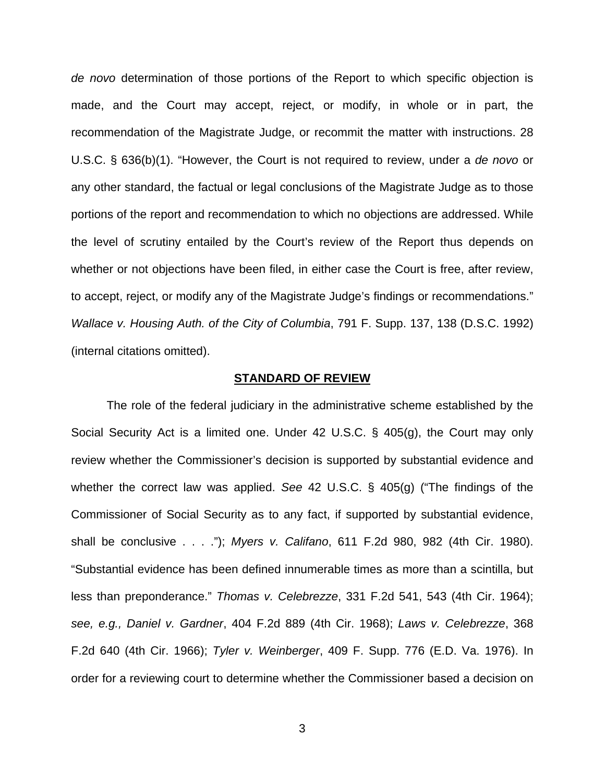de novo determination of those portions of the Report to which specific objection is made, and the Court may accept, reject, or modify, in whole or in part, the recommendation of the Magistrate Judge, or recommit the matter with instructions. 28 U.S.C. § 636(b)(1). "However, the Court is not required to review, under a de novo or any other standard, the factual or legal conclusions of the Magistrate Judge as to those portions of the report and recommendation to which no objections are addressed. While the level of scrutiny entailed by the Court's review of the Report thus depends on whether or not objections have been filed, in either case the Court is free, after review, to accept, reject, or modify any of the Magistrate Judge's findings or recommendations." Wallace v. Housing Auth. of the City of Columbia, 791 F. Supp. 137, 138 (D.S.C. 1992) (internal citations omitted).

### **STANDARD OF REVIEW**

 The role of the federal judiciary in the administrative scheme established by the Social Security Act is a limited one. Under 42 U.S.C. § 405(g), the Court may only review whether the Commissioner's decision is supported by substantial evidence and whether the correct law was applied. See 42 U.S.C. § 405(g) ("The findings of the Commissioner of Social Security as to any fact, if supported by substantial evidence, shall be conclusive . . . ."); Myers v. Califano, 611 F.2d 980, 982 (4th Cir. 1980). "Substantial evidence has been defined innumerable times as more than a scintilla, but less than preponderance." Thomas v. Celebrezze, 331 F.2d 541, 543 (4th Cir. 1964); see, e.g., Daniel v. Gardner, 404 F.2d 889 (4th Cir. 1968); Laws v. Celebrezze, 368 F.2d 640 (4th Cir. 1966); Tyler v. Weinberger, 409 F. Supp. 776 (E.D. Va. 1976). In order for a reviewing court to determine whether the Commissioner based a decision on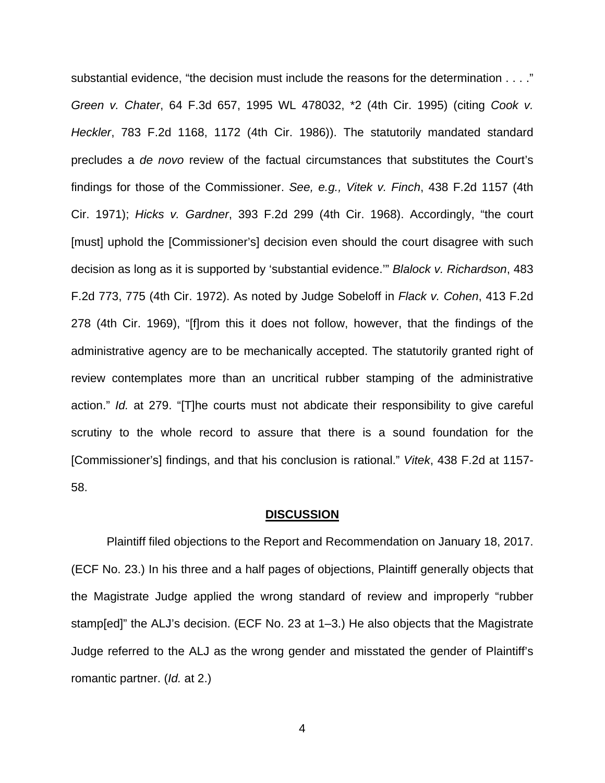substantial evidence, "the decision must include the reasons for the determination . . . ." Green v. Chater, 64 F.3d 657, 1995 WL 478032, \*2 (4th Cir. 1995) (citing Cook v. Heckler, 783 F.2d 1168, 1172 (4th Cir. 1986)). The statutorily mandated standard precludes a de novo review of the factual circumstances that substitutes the Court's findings for those of the Commissioner. See, e.g., Vitek v. Finch, 438 F.2d 1157 (4th Cir. 1971); Hicks v. Gardner, 393 F.2d 299 (4th Cir. 1968). Accordingly, "the court [must] uphold the [Commissioner's] decision even should the court disagree with such decision as long as it is supported by 'substantial evidence.'" Blalock v. Richardson, 483 F.2d 773, 775 (4th Cir. 1972). As noted by Judge Sobeloff in Flack v. Cohen, 413 F.2d 278 (4th Cir. 1969), "[f]rom this it does not follow, however, that the findings of the administrative agency are to be mechanically accepted. The statutorily granted right of review contemplates more than an uncritical rubber stamping of the administrative action." Id. at 279. "[T]he courts must not abdicate their responsibility to give careful scrutiny to the whole record to assure that there is a sound foundation for the [Commissioner's] findings, and that his conclusion is rational." Vitek, 438 F.2d at 1157- 58.

#### **DISCUSSION**

 Plaintiff filed objections to the Report and Recommendation on January 18, 2017. (ECF No. 23.) In his three and a half pages of objections, Plaintiff generally objects that the Magistrate Judge applied the wrong standard of review and improperly "rubber stamp[ed]" the ALJ's decision. (ECF No. 23 at 1–3.) He also objects that the Magistrate Judge referred to the ALJ as the wrong gender and misstated the gender of Plaintiff's romantic partner. (Id. at 2.)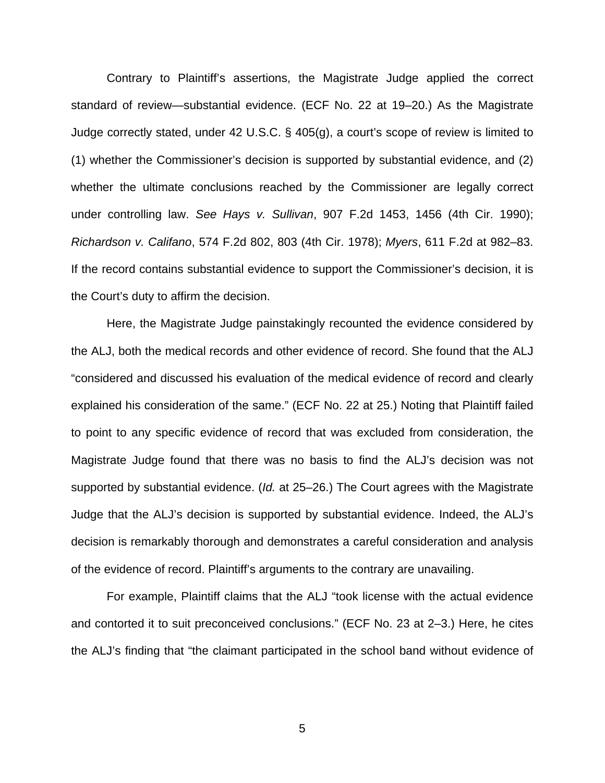Contrary to Plaintiff's assertions, the Magistrate Judge applied the correct standard of review—substantial evidence. (ECF No. 22 at 19–20.) As the Magistrate Judge correctly stated, under 42 U.S.C. § 405(g), a court's scope of review is limited to (1) whether the Commissioner's decision is supported by substantial evidence, and (2) whether the ultimate conclusions reached by the Commissioner are legally correct under controlling law. See Hays v. Sullivan, 907 F.2d 1453, 1456 (4th Cir. 1990); Richardson v. Califano, 574 F.2d 802, 803 (4th Cir. 1978); Myers, 611 F.2d at 982–83. If the record contains substantial evidence to support the Commissioner's decision, it is the Court's duty to affirm the decision.

Here, the Magistrate Judge painstakingly recounted the evidence considered by the ALJ, both the medical records and other evidence of record. She found that the ALJ "considered and discussed his evaluation of the medical evidence of record and clearly explained his consideration of the same." (ECF No. 22 at 25.) Noting that Plaintiff failed to point to any specific evidence of record that was excluded from consideration, the Magistrate Judge found that there was no basis to find the ALJ's decision was not supported by substantial evidence. (*Id.* at 25–26.) The Court agrees with the Magistrate Judge that the ALJ's decision is supported by substantial evidence. Indeed, the ALJ's decision is remarkably thorough and demonstrates a careful consideration and analysis of the evidence of record. Plaintiff's arguments to the contrary are unavailing.

For example, Plaintiff claims that the ALJ "took license with the actual evidence and contorted it to suit preconceived conclusions." (ECF No. 23 at 2–3.) Here, he cites the ALJ's finding that "the claimant participated in the school band without evidence of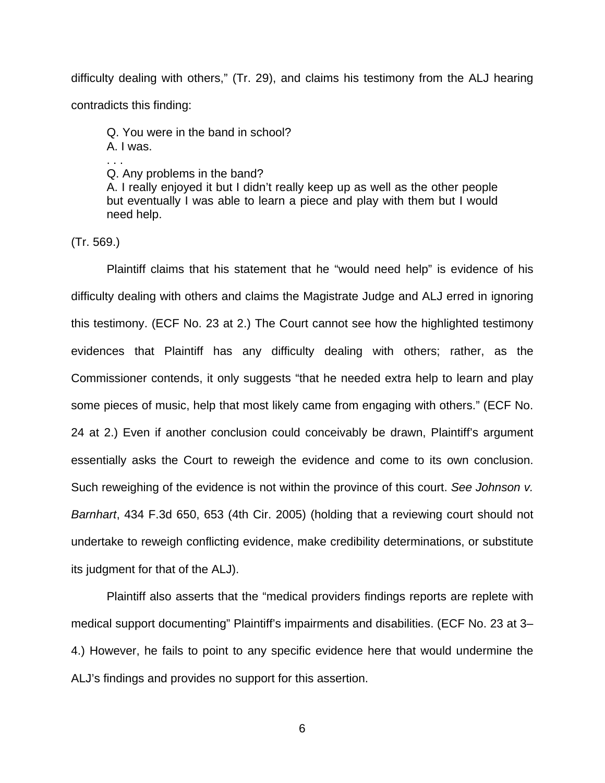difficulty dealing with others," (Tr. 29), and claims his testimony from the ALJ hearing contradicts this finding:

Q. You were in the band in school?

A. I was. . . .

Q. Any problems in the band?

A. I really enjoyed it but I didn't really keep up as well as the other people but eventually I was able to learn a piece and play with them but I would need help.

(Tr. 569.)

Plaintiff claims that his statement that he "would need help" is evidence of his difficulty dealing with others and claims the Magistrate Judge and ALJ erred in ignoring this testimony. (ECF No. 23 at 2.) The Court cannot see how the highlighted testimony evidences that Plaintiff has any difficulty dealing with others; rather, as the Commissioner contends, it only suggests "that he needed extra help to learn and play some pieces of music, help that most likely came from engaging with others." (ECF No. 24 at 2.) Even if another conclusion could conceivably be drawn, Plaintiff's argument essentially asks the Court to reweigh the evidence and come to its own conclusion. Such reweighing of the evidence is not within the province of this court. See Johnson v. Barnhart, 434 F.3d 650, 653 (4th Cir. 2005) (holding that a reviewing court should not undertake to reweigh conflicting evidence, make credibility determinations, or substitute its judgment for that of the ALJ).

Plaintiff also asserts that the "medical providers findings reports are replete with medical support documenting" Plaintiff's impairments and disabilities. (ECF No. 23 at 3– 4.) However, he fails to point to any specific evidence here that would undermine the ALJ's findings and provides no support for this assertion.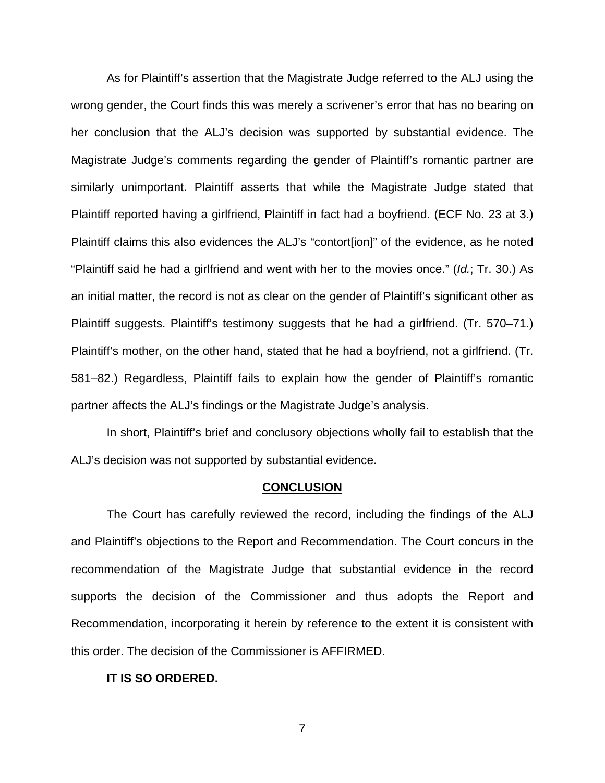As for Plaintiff's assertion that the Magistrate Judge referred to the ALJ using the wrong gender, the Court finds this was merely a scrivener's error that has no bearing on her conclusion that the ALJ's decision was supported by substantial evidence. The Magistrate Judge's comments regarding the gender of Plaintiff's romantic partner are similarly unimportant. Plaintiff asserts that while the Magistrate Judge stated that Plaintiff reported having a girlfriend, Plaintiff in fact had a boyfriend. (ECF No. 23 at 3.) Plaintiff claims this also evidences the ALJ's "contort[ion]" of the evidence, as he noted "Plaintiff said he had a girlfriend and went with her to the movies once." (Id.; Tr. 30.) As an initial matter, the record is not as clear on the gender of Plaintiff's significant other as Plaintiff suggests. Plaintiff's testimony suggests that he had a girlfriend. (Tr. 570–71.) Plaintiff's mother, on the other hand, stated that he had a boyfriend, not a girlfriend. (Tr. 581–82.) Regardless, Plaintiff fails to explain how the gender of Plaintiff's romantic partner affects the ALJ's findings or the Magistrate Judge's analysis.

In short, Plaintiff's brief and conclusory objections wholly fail to establish that the ALJ's decision was not supported by substantial evidence.

#### **CONCLUSION**

 The Court has carefully reviewed the record, including the findings of the ALJ and Plaintiff's objections to the Report and Recommendation. The Court concurs in the recommendation of the Magistrate Judge that substantial evidence in the record supports the decision of the Commissioner and thus adopts the Report and Recommendation, incorporating it herein by reference to the extent it is consistent with this order. The decision of the Commissioner is AFFIRMED.

#### **IT IS SO ORDERED.**